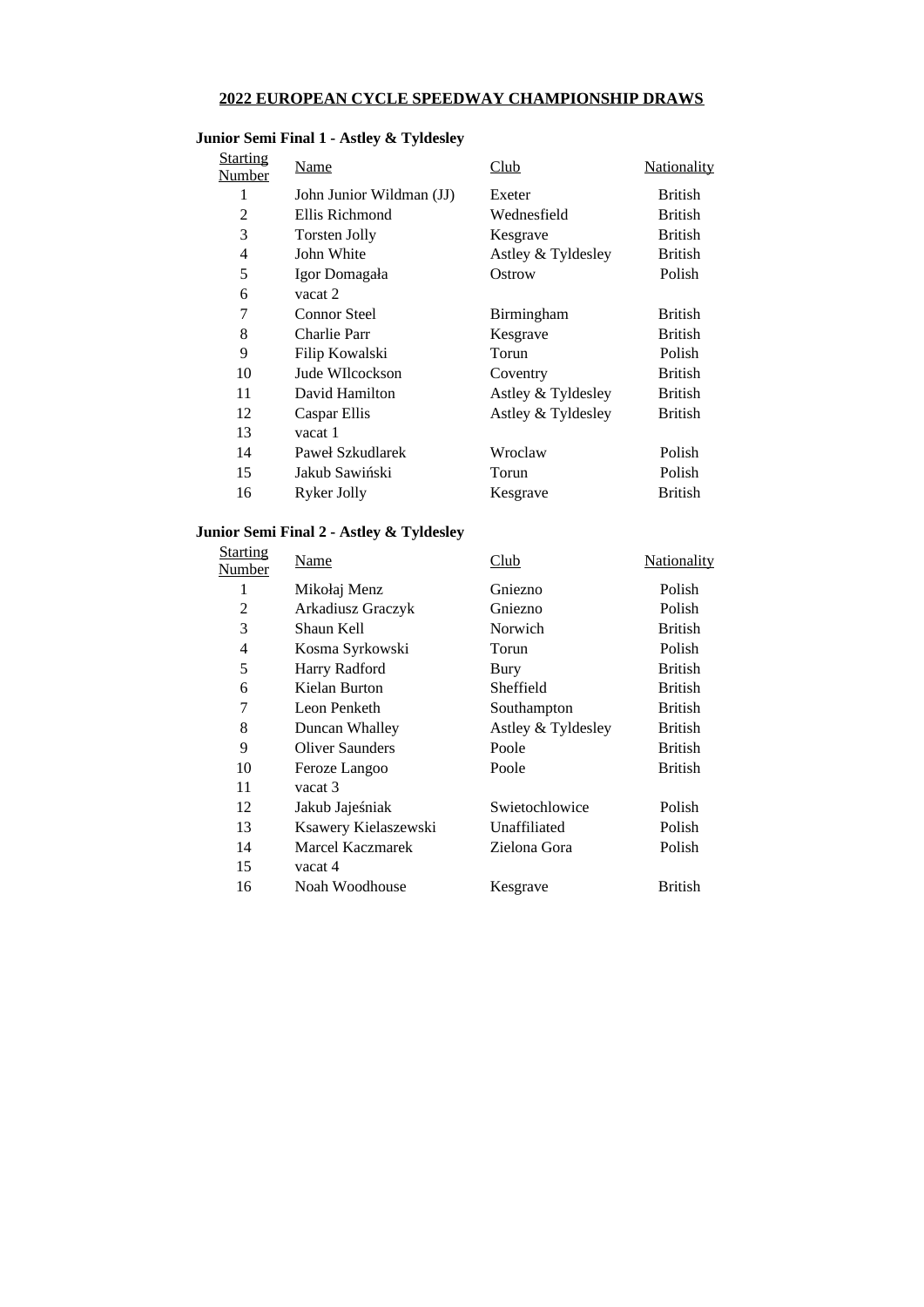### **2022 EUROPEAN CYCLE SPEEDWAY CHAMPIONSHIP DRAWS**

### **Junior Semi Final 1 - Astley & Tyldesley**

| Starting<br>Number | Name                     | Club               | <u>Nationality</u> |
|--------------------|--------------------------|--------------------|--------------------|
| 1                  | John Junior Wildman (JJ) | Exeter             | <b>British</b>     |
| $\overline{2}$     | Ellis Richmond           | Wednesfield        | <b>British</b>     |
| 3                  | <b>Torsten Jolly</b>     | Kesgrave           | <b>British</b>     |
| 4                  | John White               | Astley & Tyldesley | <b>British</b>     |
| 5                  | Igor Domagała            | Ostrow             | Polish             |
| 6                  | vacat 2                  |                    |                    |
| 7                  | Connor Steel             | Birmingham         | <b>British</b>     |
| 8                  | Charlie Parr             | Kesgrave           | <b>British</b>     |
| 9                  | Filip Kowalski           | Torun              | <b>Polish</b>      |
| 10                 | Jude WIlcockson          | Coventry           | <b>British</b>     |
| 11                 | David Hamilton           | Astley & Tyldesley | <b>British</b>     |
| 12                 | Caspar Ellis             | Astley & Tyldesley | <b>British</b>     |
| 13                 | vacat 1                  |                    |                    |
| 14                 | Paweł Szkudlarek         | Wroclaw            | Polish             |
| 15                 | Jakub Sawiński           | Torun              | Polish             |
| 16                 | Ryker Jolly              | Kesgrave           | <b>British</b>     |
|                    |                          |                    |                    |

### **Junior Semi Final 2 - Astley & Tyldesley**

| <b>Starting</b><br>Number | Name                 | Club               | <b>Nationality</b> |
|---------------------------|----------------------|--------------------|--------------------|
| 1                         | Mikołaj Menz         | Gniezno            | Polish             |
| $\overline{2}$            | Arkadiusz Graczyk    | Gniezno            | Polish             |
| 3                         | Shaun Kell           | Norwich            | <b>British</b>     |
| 4                         | Kosma Syrkowski      | Torun              | Polish             |
| 5                         | Harry Radford        | Bury               | British            |
| 6                         | Kielan Burton        | Sheffield          | British            |
| 7                         | Leon Penketh         | Southampton        | British            |
| 8                         | Duncan Whalley       | Astley & Tyldesley | British            |
| 9                         | Oliver Saunders      | Poole              | British            |
| 10                        | Feroze Langoo        | Poole              | <b>British</b>     |
| 11                        | vacat 3              |                    |                    |
| 12                        | Jakub Jajeśniak      | Swietochlowice     | Polish             |
| 13                        | Ksawery Kielaszewski | Unaffiliated       | Polish             |
| 14                        | Marcel Kaczmarek     | Zielona Gora       | Polish             |
| 15                        | vacat 4              |                    |                    |
| 16                        | Noah Woodhouse       | Kesgrave           | <b>British</b>     |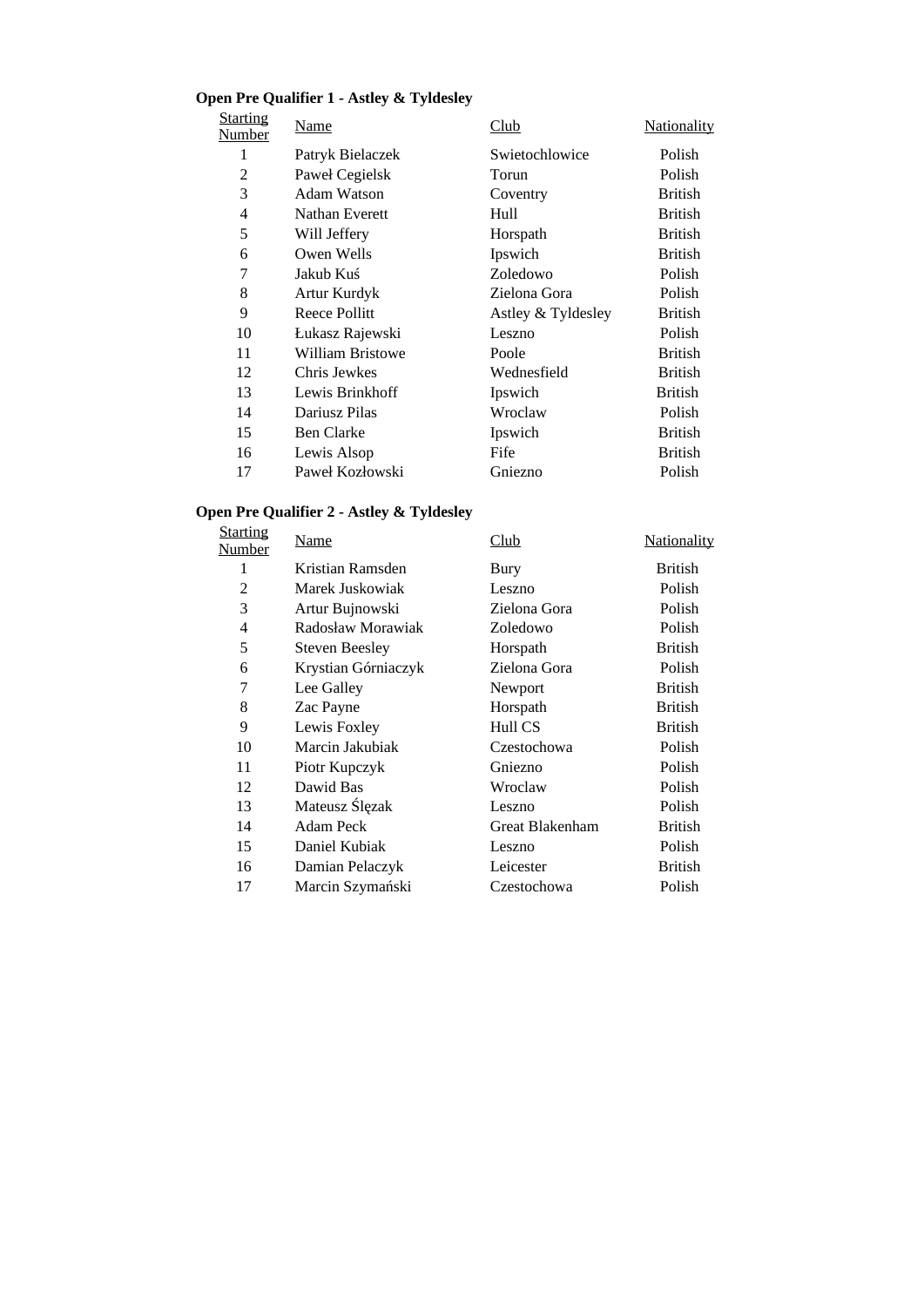# **Open Pre Qualifier 1 - Astley & Tyldesley**

| <b>Starting</b><br>Number | Name              | <u>Club</u>        | <u>Nationality</u> |
|---------------------------|-------------------|--------------------|--------------------|
| 1                         | Patryk Bielaczek  | Swietochlowice     | Polish             |
| 2                         | Paweł Cegielsk    | Torun              | Polish             |
| 3                         | Adam Watson       | Coventry           | British            |
| 4                         | Nathan Everett    | Hull               | British            |
| 5                         | Will Jeffery      | Horspath           | <b>British</b>     |
| 6                         | Owen Wells        | Ipswich            | British            |
| 7                         | Jakub Kuś         | Zoledowo           | Polish             |
| 8                         | Artur Kurdyk      | Zielona Gora       | Polish             |
| 9                         | Reece Pollitt     | Astley & Tyldesley | British            |
| 10                        | Łukasz Rajewski   | Leszno             | Polish             |
| 11                        | William Bristowe  | Poole              | British            |
| 12                        | Chris Jewkes      | Wednesfield        | British            |
| 13                        | Lewis Brinkhoff   | Ipswich            | British            |
| 14                        | Dariusz Pilas     | Wroclaw            | Polish             |
| 15                        | <b>Ben Clarke</b> | Ipswich            | British            |
| 16                        | Lewis Alsop       | Fife               | British            |
| 17                        | Paweł Kozłowski   | Gniezno            | Polish             |

### **Open Pre Qualifier 2 - Astley & Tyldesley**

| <b>Starting</b><br>Number | Name                  | Club            | <b>Nationality</b> |
|---------------------------|-----------------------|-----------------|--------------------|
| 1                         | Kristian Ramsden      | Bury            | <b>British</b>     |
| $\overline{2}$            | Marek Juskowiak       | Leszno          | Polish             |
| 3                         | Artur Bujnowski       | Zielona Gora    | Polish             |
| 4                         | Radosław Morawiak     | Zoledowo        | Polish             |
| 5                         | <b>Steven Beesley</b> | Horspath        | <b>British</b>     |
| 6                         | Krystian Górniaczyk   | Zielona Gora    | Polish             |
| 7                         | Lee Galley            | Newport         | <b>British</b>     |
| 8                         | Zac Payne             | Horspath        | <b>British</b>     |
| 9                         | Lewis Foxley          | Hull CS         | <b>British</b>     |
| 10                        | Marcin Jakubiak       | Czestochowa     | Polish             |
| 11                        | Piotr Kupczyk         | Gniezno         | Polish             |
| 12                        | Dawid Bas             | Wroclaw         | Polish             |
| 13                        | Mateusz Ślęzak        | Leszno          | Polish             |
| 14                        | Adam Peck             | Great Blakenham | <b>British</b>     |
| 15                        | Daniel Kubiak         | Leszno          | Polish             |
| 16                        | Damian Pelaczyk       | Leicester       | <b>British</b>     |
| 17                        | Marcin Szymański      | Czestochowa     | Polish             |
|                           |                       |                 |                    |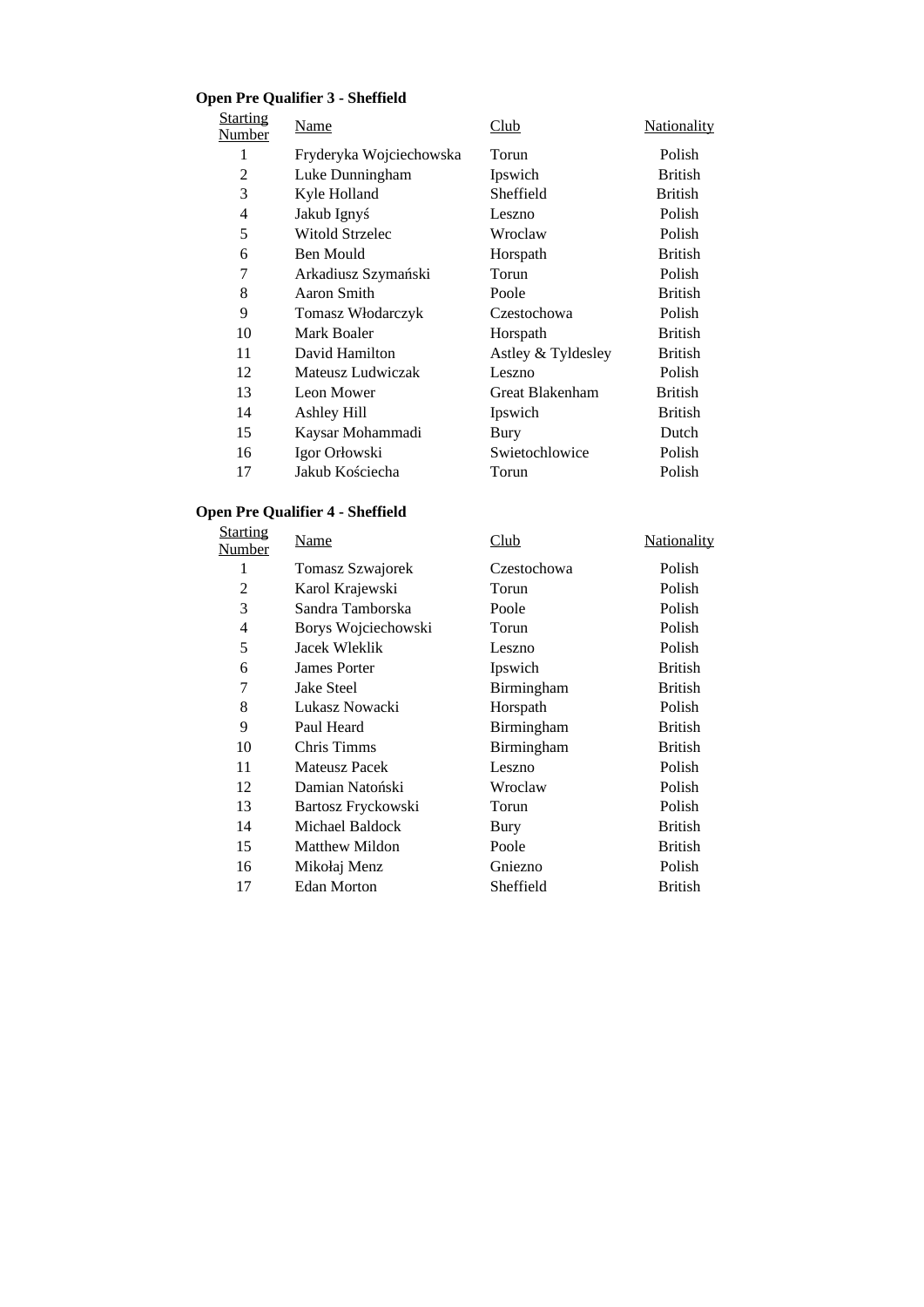# **Open Pre Qualifier 3 - Sheffield**

| <b>Starting</b><br>Number | Name                    | Club               | <b>Nationality</b> |
|---------------------------|-------------------------|--------------------|--------------------|
| 1                         | Fryderyka Wojciechowska | Torun              | Polish             |
| 2                         | Luke Dunningham         | Ipswich            | <b>British</b>     |
| 3                         | Kyle Holland            | Sheffield          | British            |
| 4                         | Jakub Ignyś             | Leszno             | Polish             |
| 5                         | Witold Strzelec         | Wroclaw            | Polish             |
| 6                         | Ben Mould               | Horspath           | <b>British</b>     |
| 7                         | Arkadiusz Szymański     | Torun              | Polish             |
| 8                         | Aaron Smith             | Poole              | <b>British</b>     |
| 9                         | Tomasz Włodarczyk       | Czestochowa        | Polish             |
| 10                        | Mark Boaler             | Horspath           | British            |
| 11                        | David Hamilton          | Astley & Tyldesley | British            |
| 12                        | Mateusz Ludwiczak       | Leszno             | Polish             |
| 13                        | Leon Mower              | Great Blakenham    | British            |
| 14                        | Ashley Hill             | Ipswich            | British            |
| 15                        | Kaysar Mohammadi        | Bury               | Dutch              |
| 16                        | Igor Orłowski           | Swietochlowice     | Polish             |
| 17                        | Jakub Kościecha         | Torun              | Polish             |

# **Open Pre Qualifier 4 - Sheffield**

| <b>Starting</b><br>Number | Name                | Club        | Nationality    |
|---------------------------|---------------------|-------------|----------------|
| 1                         | Tomasz Szwajorek    | Czestochowa | Polish         |
| $\overline{2}$            | Karol Krajewski     | Torun       | Polish         |
| 3                         | Sandra Tamborska    | Poole       | Polish         |
| $\overline{4}$            | Borys Wojciechowski | Torun       | Polish         |
| 5                         | Jacek Wleklik       | Leszno      | Polish         |
| 6                         | James Porter        | Ipswich     | <b>British</b> |
| 7                         | <b>Jake Steel</b>   | Birmingham  | <b>British</b> |
| 8                         | Lukasz Nowacki      | Horspath    | Polish         |
| 9                         | Paul Heard          | Birmingham  | <b>British</b> |
| 10                        | Chris Timms         | Birmingham  | <b>British</b> |
| 11                        | Mateusz Pacek       | Leszno      | Polish         |
| 12                        | Damian Natoński     | Wroclaw     | Polish         |
| 13                        | Bartosz Fryckowski  | Torun       | Polish         |
| 14                        | Michael Baldock     | Bury        | <b>British</b> |
| 15                        | Matthew Mildon      | Poole       | <b>British</b> |
| 16                        | Mikołaj Menz        | Gniezno     | Polish         |
| 17                        | Edan Morton         | Sheffield   | British        |
|                           |                     |             |                |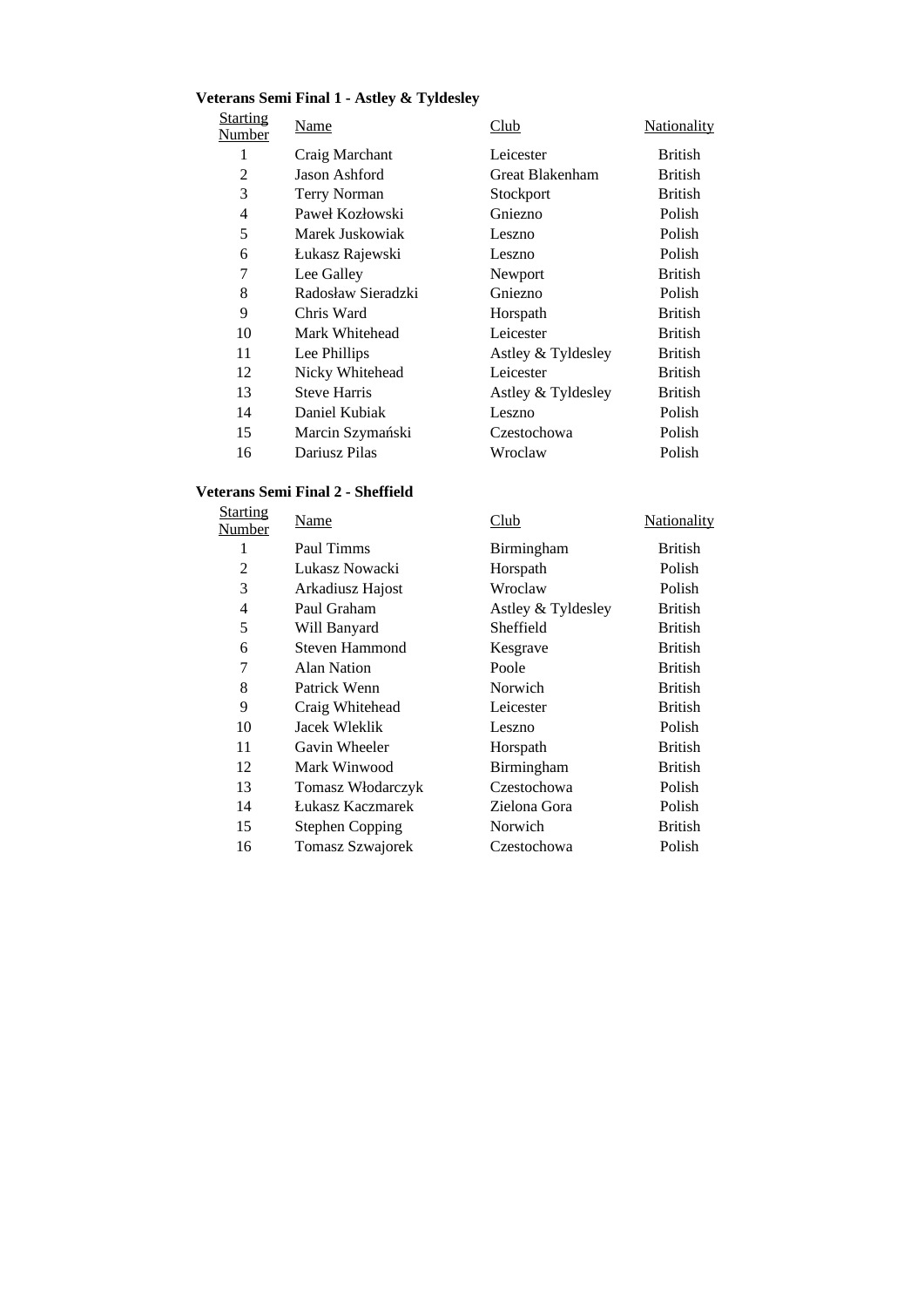#### **Veterans Semi Final 1 - Astley & Tyldesley**

**Starting Number** 

| arting<br><u>mber</u> | <u>Name</u>         | Club               | Nationality    |
|-----------------------|---------------------|--------------------|----------------|
| 1                     | Craig Marchant      | Leicester          | <b>British</b> |
| 2                     | Jason Ashford       | Great Blakenham    | <b>British</b> |
| 3                     | <b>Terry Norman</b> | Stockport          | <b>British</b> |
| $\overline{4}$        | Paweł Kozłowski     | Gniezno            | Polish         |
| 5                     | Marek Juskowiak     | Leszno             | Polish         |
| 6                     | Łukasz Rajewski     | Leszno             | Polish         |
| 7                     | Lee Galley          | Newport            | <b>British</b> |
| 8                     | Radosław Sieradzki  | Gniezno            | Polish         |
| 9                     | Chris Ward          | Horspath           | <b>British</b> |
| 10                    | Mark Whitehead      | Leicester          | <b>British</b> |
| 11                    | Lee Phillips        | Astley & Tyldesley | <b>British</b> |
| 12                    | Nicky Whitehead     | Leicester          | <b>British</b> |
| 13                    | <b>Steve Harris</b> | Astley & Tyldesley | British        |
| 14                    | Daniel Kubiak       | Leszno             | Polish         |
| 15                    | Marcin Szymański    | Czestochowa        | Polish         |
| 16                    | Dariusz Pilas       | Wroclaw            | Polish         |

**Nationality** 

#### **Veterans Semi Final 2 - Sheffield**

| <b>Starting</b><br>Number | Name                   | Club               | <b>Nationali</b> |
|---------------------------|------------------------|--------------------|------------------|
| 1                         | Paul Timms             | Birmingham         | <b>British</b>   |
| 2                         | Lukasz Nowacki         | Horspath           | Polish           |
| 3                         | Arkadiusz Hajost       | Wroclaw            | Polish           |
| 4                         | Paul Graham            | Astley & Tyldesley | <b>British</b>   |
| 5                         | Will Banyard           | Sheffield          | <b>British</b>   |
| 6                         | Steven Hammond         | Kesgrave           | British          |
| 7                         | Alan Nation            | Poole              | British          |
| 8                         | Patrick Wenn           | Norwich            | British          |
| 9                         | Craig Whitehead        | Leicester          | British          |
| 10                        | Jacek Wleklik          | Leszno             | Polish           |
| 11                        | Gavin Wheeler          | Horspath           | British          |
| 12                        | Mark Winwood           | Birmingham         | <b>British</b>   |
| 13                        | Tomasz Włodarczyk      | Czestochowa        | Polish           |
| 14                        | Łukasz Kaczmarek       | Zielona Gora       | Polish           |
| 15                        | <b>Stephen Copping</b> | Norwich            | <b>British</b>   |
| 16                        | Tomasz Szwajorek       | Czestochowa        | Polish           |
|                           |                        |                    |                  |